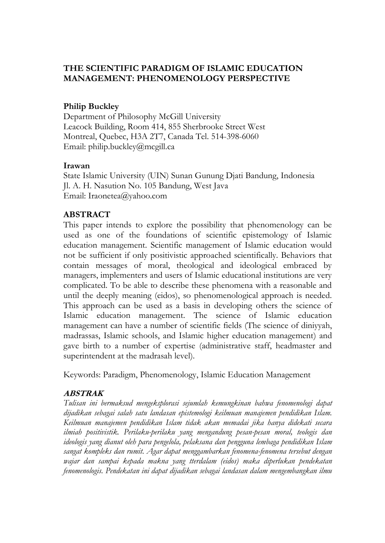# **THE SCIENTIFIC PARADIGM OF ISLAMIC EDUCATION MANAGEMENT: PHENOMENOLOGY PERSPECTIVE**

#### **Philip Buckley**

Department of Philosophy McGill University Leacock Building, Room 414, 855 Sherbrooke Street West Montreal, Quebec, H3A 2T7, Canada Tel. 514-398-6060 Email: [philip.buckley@mcgill.ca](mailto:philip.buckley@mcgill.ca)

### **Irawan**

State Islamic University (UIN) Sunan Gunung Djati Bandung, Indonesia Jl. A. H. Nasution No. 105 Bandung, West Java Email: [Iraonetea@yahoo.com](mailto:Iraonetea@yahoo.com)

# **ABSTRACT**

This paper intends to explore the possibility that phenomenology can be used as one of the foundations of scientific epistemology of Islamic education management. Scientific management of Islamic education would not be sufficient if only positivistic approached scientifically. Behaviors that contain messages of moral, theological and ideological embraced by managers, implementers and users of Islamic educational institutions are very complicated. To be able to describe these phenomena with a reasonable and until the deeply meaning (eidos), so phenomenological approach is needed. This approach can be used as a basis in developing others the science of Islamic education management. The science of Islamic education management can have a number of scientific fields (The science of diniyyah, madrassas, Islamic schools, and Islamic higher education management) and gave birth to a number of expertise (administrative staff, headmaster and superintendent at the madrasah level).

Keywords: Paradigm, Phenomenology, Islamic Education Management

# **ABSTRAK**

*Tulisan ini bermaksud mengeksplorasi sejumlah kemungkinan bahwa fenomenologi dapat dijadikan sebagai salah satu landasan epistemologi keilmuan manajemen pendidikan Islam. Keilmuan manajemen pendidikan Islam tidak akan memadai jika hanya didekati secara ilmiah positivistik. Perilaku-perilaku yang mengandung pesan-pesan moral, teologis dan ideologis yang dianut oleh para pengelola, pelaksana dan pengguna lembaga pendidikan Islam sangat kompleks dan rumit. Agar dapat menggambarkan fenomena-fenomena tersebut dengan wajar dan sampai kepada makna yang tterdalam (eidos) maka diperlukan pendekatan fenomenologis. Pendekatan ini dapat dijadikan sebagai landasan dalam mengembangkan ilmu*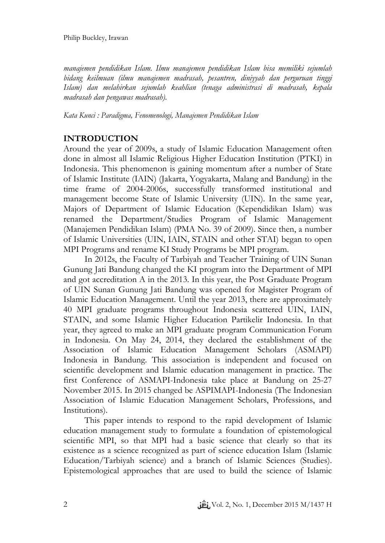*manajemen pendidikan Islam. Ilmu manajemen pendidikan Islam bisa memiliki sejumlah bidang keilmuan (ilmu manajemen madrasah, pesantren, diniyyah dan perguruan tinggi Islam) dan melahirkan sejumlah keahlian (tenaga administrasi di madrasah, kepala madrasah dan pengawas madrasah).* 

*Kata Kunci : Paradigma, Fenomenologi, Manajemen Pendidikan Islam* 

#### **INTRODUCTION**

Around the year of 2009s, a study of Islamic Education Management often done in almost all Islamic Religious Higher Education Institution (PTKI) in Indonesia. This phenomenon is gaining momentum after a number of State of Islamic Institute (IAIN) (Jakarta, Yogyakarta, Malang and Bandung) in the time frame of 2004-2006s, successfully transformed institutional and management become State of Islamic University (UIN). In the same year, Majors of Department of Islamic Education (Kependidikan Islam) was renamed the Department/Studies Program of Islamic Management (Manajemen Pendidikan Islam) (PMA No. 39 of 2009). Since then, a number of Islamic Universities (UIN, IAIN, STAIN and other STAI) began to open MPI Programs and rename KI Study Programs be MPI program.

In 2012s, the Faculty of Tarbiyah and Teacher Training of UIN Sunan Gunung Jati Bandung changed the KI program into the Department of MPI and got accreditation A in the 2013. In this year, the Post Graduate Program of UIN Sunan Gunung Jati Bandung was opened for Magister Program of Islamic Education Management. Until the year 2013, there are approximately 40 MPI graduate programs throughout Indonesia scattered UIN, IAIN, STAIN, and some Islamic Higher Education Partikelir Indonesia. In that year, they agreed to make an MPI graduate program Communication Forum in Indonesia. On May 24, 2014, they declared the establishment of the Association of Islamic Education Management Scholars (ASMAPI) Indonesia in Bandung. This association is independent and focused on scientific development and Islamic education management in practice. The first Conference of ASMAPI-Indonesia take place at Bandung on 25-27 November 2015. In 2015 changed be ASPIMAPI-Indonesia (The Indonesian Association of Islamic Education Management Scholars, Professions, and Institutions).

This paper intends to respond to the rapid development of Islamic education management study to formulate a foundation of epistemological scientific MPI, so that MPI had a basic science that clearly so that its existence as a science recognized as part of science education Islam (Islamic Education/Tarbiyah science) and a branch of Islamic Sciences (Studies). Epistemological approaches that are used to build the science of Islamic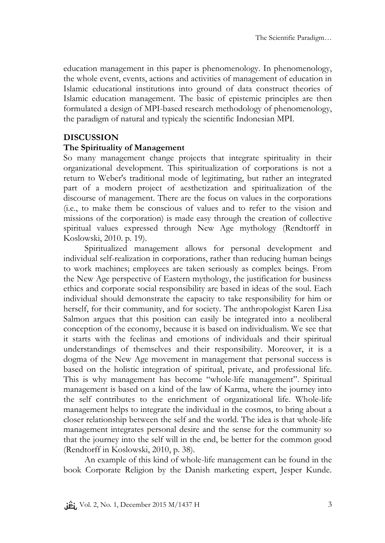education management in this paper is phenomenology. In phenomenology, the whole event, events, actions and activities of management of education in Islamic educational institutions into ground of data construct theories of Islamic education management. The basic of epistemic principles are then formulated a design of MPI-based research methodology of phenomenology, the paradigm of natural and typicaly the scientific Indonesian MPI.

# **DISCUSSION**

#### **The Spirituality of Management**

So many management change projects that integrate spirituality in their organizational development. This spiritualization of corporations is not a return to Weber's traditional mode of legitimating, but rather an integrated part of a modern project of aesthetization and spiritualization of the discourse of management. There are the focus on values in the corporations (i.e., to make them be conscious of values and to refer to the vision and missions of the corporation) is made easy through the creation of collective spiritual values expressed through New Age mythology (Rendtorff in Koslowski, 2010. p. 19).

Spiritualized management allows for personal development and individual self-realization in corporations, rather than reducing human beings to work machines; employees are taken seriously as complex beings. From the New Age perspective of Eastern mythology, the justification for business ethics and corporate social responsibility are based in ideas of the soul. Each individual should demonstrate the capacity to take responsibility for him or herself, for their community, and for society. The anthropologist Karen Lisa Salmon argues that this position can easily be integrated into a neoliberal conception of the economy, because it is based on individualism. We see that it starts with the feelinas and emotions of individuals and their spiritual understandings of themselves and their responsibility. Moreover, it is a dogma of the New Age movement in management that personal success is based on the holistic integration of spiritual, private, and professional life. This is why management has become "whole-life management". Spiritual management is based on a kind of the law of Karma, where the journey into the self contributes to the enrichment of organizational life. Whole-life management helps to integrate the individual in the cosmos, to bring about a closer relationship between the self and the world. The idea is that whole-life management integrates personal desire and the sense for the community so that the journey into the self will in the end, be better for the common good (Rendtorff in Koslowski, 2010, p. 38).

An example of this kind of whole-life management can be found in the book Corporate Religion by the Danish marketing expert, Jesper Kunde.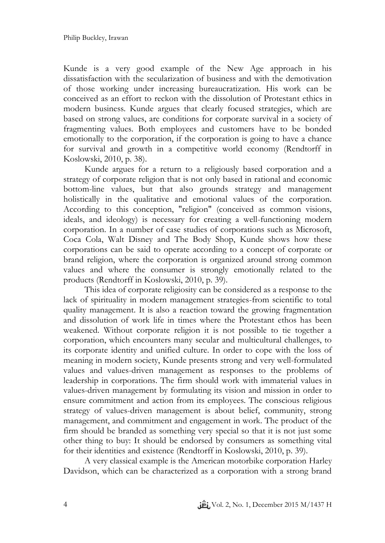Kunde is a very good example of the New Age approach in his dissatisfaction with the secularization of business and with the demotivation of those working under increasing bureaucratization. His work can be conceived as an effort to reckon with the dissolution of Protestant ethics in modern business. Kunde argues that clearly focused strategies, which are based on strong values, are conditions for corporate survival in a society of fragmenting values. Both employees and customers have to be bonded emotionally to the corporation, if the corporation is going to have a chance for survival and growth in a competitive world economy (Rendtorff in Koslowski, 2010, p. 38).

Kunde argues for a return to a religiously based corporation and a strategy of corporate religion that is not only based in rational and economic bottom-line values, but that also grounds strategy and management holistically in the qualitative and emotional values of the corporation. According to this conception, "religion" (conceived as common visions, ideals, and ideology) is necessary for creating a well-functioning modern corporation. In a number of case studies of corporations such as Microsoft, Coca Cola, Walt Disney and The Body Shop, Kunde shows how these corporations can be said to operate according to a concept of corporate or brand religion, where the corporation is organized around strong common values and where the consumer is strongly emotionally related to the products (Rendtorff in Koslowski, 2010, p. 39).

This idea of corporate religiosity can be considered as a response to the lack of spirituality in modern management strategies-from scientific to total quality management. It is also a reaction toward the growing fragmentation and dissolution of work life in times where the Protestant ethos has been weakened. Without corporate religion it is not possible to tie together a corporation, which encounters many secular and multicultural challenges, to its corporate identity and unified culture. In order to cope with the loss of meaning in modern society, Kunde presents strong and very well-formulated values and values-driven management as responses to the problems of leadership in corporations. The firm should work with immaterial values in values-driven management by formulating its vision and mission in order to ensure commitment and action from its employees. The conscious religious strategy of values-driven management is about belief, community, strong management, and commitment and engagement in work. The product of the firm should be branded as something very special so that it is not just some other thing to buy: It should be endorsed by consumers as something vital for their identities and existence (Rendtorff in Koslowski, 2010, p. 39).

A very classical example is the American motorbike corporation Harley Davidson, which can be characterized as a corporation with a strong brand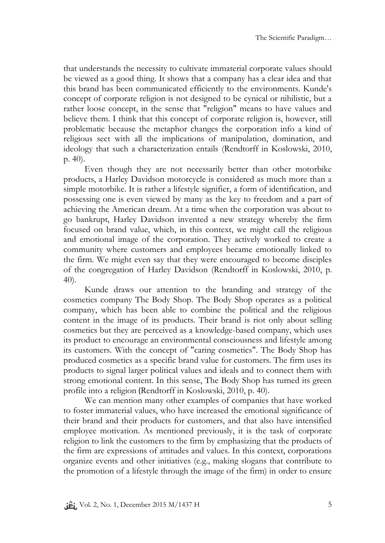that understands the necessity to cultivate immaterial corporate values should be viewed as a good thing. It shows that a company has a clear idea and that this brand has been communicated efficiently to the environments. Kunde's concept of corporate religion is not designed to be cynical or nihilistic, but a rather loose concept, in the sense that "religion" means to have values and believe them. I think that this concept of corporate religion is, however, still problematic because the metaphor changes the corporation info a kind of religious sect with all the implications of manipulation, domination, and ideology that such a characterization entails (Rendtorff in Koslowski, 2010, p. 40).

Even though they are not necessarily better than other motorbike products, a Harley Davidson motorcycle is considered as much more than a simple motorbike. It is rather a lifestyle signifier, a form of identification, and possessing one is even viewed by many as the key to freedom and a part of achieving the American dream. At a time when the corporation was about to go bankrupt, Harley Davidson invented a new strategy whereby the firm focused on brand value, which, in this context, we might call the religious and emotional image of the corporation. They actively worked to create a community where customers and employees became emotionally linked to the firm. We might even say that they were encouraged to become disciples of the congregation of Harley Davidson (Rendtorff in Koslowski, 2010, p. 40).

Kunde draws our attention to the branding and strategy of the cosmetics company The Body Shop. The Body Shop operates as a political company, which has been able to combine the political and the religious content in the image of its products. Their brand is riot only about selling cosmetics but they are perceived as a knowledge-based company, which uses its product to encourage an environmental consciousness and lifestyle among its customers. With the concept of "caring cosmetics". The Body Shop has produced cosmetics as a specific brand value for customers. The firm uses its products to signal larger political values and ideals and to connect them with strong emotional content. In this sense, The Body Shop has turned its green profile into a religion (Rendtorff in Koslowski, 2010, p. 40).

We can mention many other examples of companies that have worked to foster immaterial values, who have increased the emotional significance of their brand and their products for customers, and that also have intensified employee motivation. As mentioned previously, it is the task of corporate religion to link the customers to the firm by emphasizing that the products of the firm are expressions of attitudes and values. In this context, corporations organize events and other initiatives (e.g., making slogans that contribute to the promotion of a lifestyle through the image of the firm) in order to ensure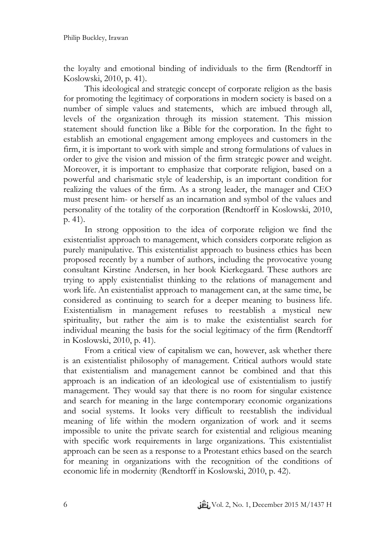the loyalty and emotional binding of individuals to the firm (Rendtorff in Koslowski, 2010, p. 41).

This ideological and strategic concept of corporate religion as the basis for promoting the legitimacy of corporations in modern society is based on a number of simple values and statements, which are imbued through all, levels of the organization through its mission statement. This mission statement should function like a Bible for the corporation. In the fight to establish an emotional engagement among employees and customers in the firm, it is important to work with simple and strong formulations of values in order to give the vision and mission of the firm strategic power and weight. Moreover, it is important to emphasize that corporate religion, based on a powerful and charismatic style of leadership, is an important condition for realizing the values of the firm. As a strong leader, the manager and CEO must present him- or herself as an incarnation and symbol of the values and personality of the totality of the corporation (Rendtorff in Koslowski, 2010, p. 41).

In strong opposition to the idea of corporate religion we find the existentialist approach to management, which considers corporate religion as purely manipulative. This existentialist approach to business ethics has been proposed recently by a number of authors, including the provocative young consultant Kirstine Andersen, in her book Kierkegaard. These authors are trying to apply existentialist thinking to the relations of management and work life. An existentialist approach to management can, at the same time, be considered as continuing to search for a deeper meaning to business life. Existentialism in management refuses to reestablish a mystical new spirituality, but rather the aim is to make the existentialist search for individual meaning the basis for the social legitimacy of the firm (Rendtorff in Koslowski, 2010, p. 41).

From a critical view of capitalism we can, however, ask whether there is an existentialist philosophy of management. Critical authors would state that existentialism and management cannot be combined and that this approach is an indication of an ideological use of existentialism to justify management. They would say that there is no room for singular existence and search for meaning in the large contemporary economic organizations and social systems. It looks very difficult to reestablish the individual meaning of life within the modern organization of work and it seems impossible to unite the private search for existential and religious meaning with specific work requirements in large organizations. This existentialist approach can be seen as a response to a Protestant ethics based on the search for meaning in organizations with the recognition of the conditions of economic life in modernity (Rendtorff in Koslowski, 2010, p. 42).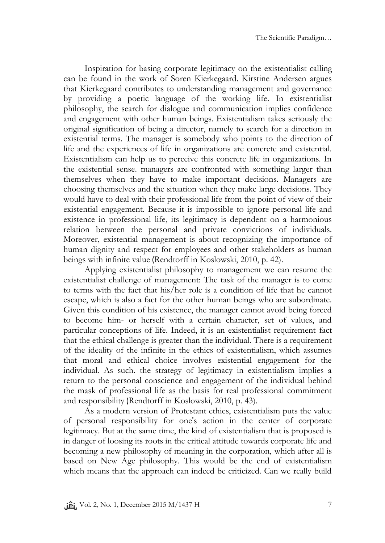Inspiration for basing corporate legitimacy on the existentialist calling can be found in the work of Soren Kierkegaard. Kirstine Andersen argues that Kierkegaard contributes to understanding management and governance by providing a poetic language of the working life. In existentialist philosophy, the search for dialogue and communication implies confidence and engagement with other human beings. Existentialism takes seriously the original signification of being a director, namely to search for a direction in existential terms. The manager is somebody who points to the direction of life and the experiences of life in organizations are concrete and existential. Existentialism can help us to perceive this concrete life in organizations. In the existential sense. managers are confronted with something larger than themselves when they have to make important decisions. Managers are choosing themselves and the situation when they make large decisions. They would have to deal with their professional life from the point of view of their existential engagement. Because it is impossible to ignore personal life and existence in professional life, its legitimacy is dependent on a harmonious relation between the personal and private convictions of individuals. Moreover, existential management is about recognizing the importance of human dignity and respect for employees and other stakeholders as human beings with infinite value (Rendtorff in Koslowski, 2010, p. 42).

Applying existentialist philosophy to management we can resume the existentialist challenge of management: The task of the manager is to come to terms with the fact that his/her role is a condition of life that he cannot escape, which is also a fact for the other human beings who are subordinate. Given this condition of his existence, the manager cannot avoid being forced to become him- or herself with a certain character, set of values, and particular conceptions of life. Indeed, it is an existentialist requirement fact that the ethical challenge is greater than the individual. There is a requirement of the ideality of the infinite in the ethics of existentialism, which assumes that moral and ethical choice involves existential engagement for the individual. As such. the strategy of legitimacy in existentialism implies a return to the personal conscience and engagement of the individual behind the mask of professional life as the basis for real professional commitment and responsibility (Rendtorff in Koslowski, 2010, p. 43).

As a modern version of Protestant ethics, existentialism puts the value of personal responsibility for one's action in the center of corporate legitimacy. But at the same time, the kind of existentialism that is proposed is in danger of loosing its roots in the critical attitude towards corporate life and becoming a new philosophy of meaning in the corporation, which after all is based on New Age philosophy. This would be the end of existentialism which means that the approach can indeed be criticized. Can we really build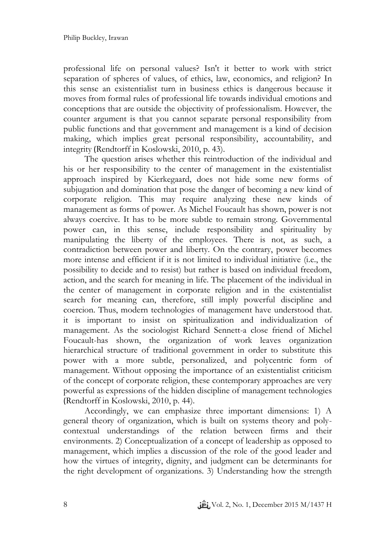professional life on personal values? Isn't it better to work with strict separation of spheres of values, of ethics, law, economics, and religion? In this sense an existentialist turn in business ethics is dangerous because it moves from formal rules of professional life towards individual emotions and conceptions that are outside the objectivity of professionalism. However, the counter argument is that you cannot separate personal responsibility from public functions and that government and management is a kind of decision making, which implies great personal responsibility, accountability, and integrity (Rendtorff in Koslowski, 2010, p. 43).

The question arises whether this reintroduction of the individual and his or her responsibility to the center of management in the existentialist approach inspired by Kierkegaard, does not hide some new forms of subjugation and domination that pose the danger of becoming a new kind of corporate religion. This may require analyzing these new kinds of management as forms of power. As Michel Foucault has shown, power is not always coercive. It has to be more subtle to remain strong. Governmental power can, in this sense, include responsibility and spirituality by manipulating the liberty of the employees. There is not, as such, a contradiction between power and liberty. On the contrary, power becomes more intense and efficient if it is not limited to individual initiative (i.e., the possibility to decide and to resist) but rather is based on individual freedom, action, and the search for meaning in life. The placement of the individual in the center of management in corporate religion and in the existentialist search for meaning can, therefore, still imply powerful discipline and coercion. Thus, modern technologies of management have understood that. it is important to insist on spiritualization and individualization of management. As the sociologist Richard Sennett-a close friend of Michel Foucault-has shown, the organization of work leaves organization hierarchical structure of traditional government in order to substitute this power with a more subtle, personalized, and polycentric form of management. Without opposing the importance of an existentialist criticism of the concept of corporate religion, these contemporary approaches are very powerful as expressions of the hidden discipline of management technologies (Rendtorff in Koslowski, 2010, p. 44).

Accordingly, we can emphasize three important dimensions: 1) A general theory of organization, which is built on systems theory and polycontextual understandings of the relation between firms and their environments. 2) Conceptualization of a concept of leadership as opposed to management, which implies a discussion of the role of the good leader and how the virtues of integrity, dignity, and judgment can be determinants for the right development of organizations. 3) Understanding how the strength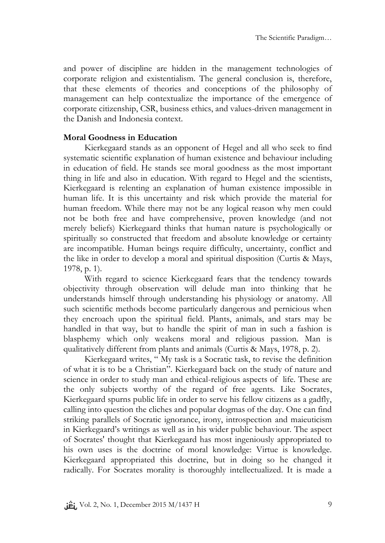and power of discipline are hidden in the management technologies of corporate religion and existentialism. The general conclusion is, therefore, that these elements of theories and conceptions of the philosophy of management can help contextualize the importance of the emergence of corporate citizenship, CSR, business ethics, and values-driven management in the Danish and Indonesia context.

# **Moral Goodness in Education**

Kierkegaard stands as an opponent of Hegel and all who seek to find systematic scientific explanation of human existence and behaviour including in education of field. He stands see moral goodness as the most important thing in life and also in education. With regard to Hegel and the scientists, Kierkegaard is relenting an explanation of human existence impossible in human life. It is this uncertainty and risk which provide the material for human freedom. While there may not be any logical reason why men could not be both free and have comprehensive, proven knowledge (and not merely beliefs) Kierkegaard thinks that human nature is psychologically or spiritually so constructed that freedom and absolute knowledge or certainty are incompatible. Human beings require difficulty, uncertainty, conflict and the like in order to develop a moral and spiritual disposition (Curtis & Mays, 1978, p. 1).

With regard to science Kierkegaard fears that the tendency towards objectivity through observation will delude man into thinking that he understands himself through understanding his physiology or anatomy. All such scientific methods become particularly dangerous and pernicious when they encroach upon the spiritual field. Plants, animals, and stars may be handled in that way, but to handle the spirit of man in such a fashion is blasphemy which only weakens moral and religious passion. Man is qualitatively different from plants and animals (Curtis & Mays, 1978, p. 2).

Kierkegaard writes, " My task is a Socratic task, to revise the definition of what it is to be a Christian". Kierkegaard back on the study of nature and science in order to study man and ethical-religious aspects of life. These are the only subjects worthy of the regard of free agents. Like Socrates, Kierkegaard spurns public life in order to serve his fellow citizens as a gadfly, calling into question the cliches and popular dogmas of the day. One can find striking parallels of Socratic ignorance, irony, introspection and maieuticism in Kierkegaard's writings as well as in his wider public behaviour. The aspect of Socrates' thought that Kierkegaard has most ingeniously appropriated to his own uses is the doctrine of moral knowledge: Virtue is knowledge. Kierkegaard appropriated this doctrine, but in doing so he changed it radically. For Socrates morality is thoroughly intellectualized. It is made a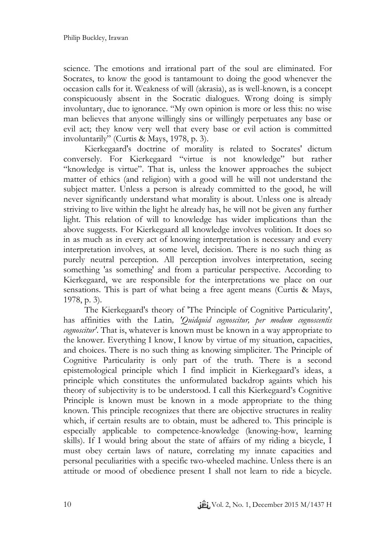science. The emotions and irrational part of the soul are eliminated. For Socrates, to know the good is tantamount to doing the good whenever the occasion calls for it. Weakness of will (akrasia), as is well-known, is a concept conspicuously absent in the Socratic dialogues. Wrong doing is simply involuntary, due to ignorance. "My own opinion is more or less this: no wise man believes that anyone willingly sins or willingly perpetuates any base or evil act; they know very well that every base or evil action is committed involuntarily" (Curtis & Mays, 1978, p. 3).

Kierkegaard's doctrine of morality is related to Socrates' dictum conversely. For Kierkegaard "virtue is not knowledge" but rather "knowledge is virtue". That is, unless the knower approaches the subject matter of ethics (and religion) with a good will he will not understand the subject matter. Unless a person is already committed to the good, he will never significantly understand what morality is about. Unless one is already striving to live within the light he already has, he will not be given any further light. This relation of will to knowledge has wider implications than the above suggests. For Kierkegaard all knowledge involves volition. It does so in as much as in every act of knowing interpretation is necessary and every interpretation involves, at some level, decision. There is no such thing as purely neutral perception. All perception involves interpretation, seeing something 'as something' and from a particular perspective. According to Kierkegaard, we are responsible for the interpretations we place on our sensations. This is part of what being a free agent means (Curtis & Mays, 1978, p. 3).

The Kierkegaard's theory of 'The Principle of Cognitive Particularity', has affinities with the Latin*, 'Quidquid cognoscitur, per modum cognoscentis cognoscitur'*. That is, whatever is known must be known in a way appropriate to the knower. Everything I know, I know by virtue of my situation, capacities, and choices. There is no such thing as knowing simpliciter. The Principle of Cognitive Particularity is only part of the truth. There is a second epistemological principle which I find implicit in Kierkegaard's ideas, a principle which constitutes the unformulated backdrop againts which his theory of subjectivity is to be understood. I call this Kierkegaard's Cognitive Principle is known must be known in a mode appropriate to the thing known. This principle recognizes that there are objective structures in reality which, if certain results are to obtain, must be adhered to. This principle is especially applicable to competence-knowledge (knowing-how, learning skills). If I would bring about the state of affairs of my riding a bicycle, I must obey certain laws of nature, correlating my innate capacities and personal peculiarities with a specific two-wheeled machine. Unless there is an attitude or mood of obedience present I shall not learn to ride a bicycle.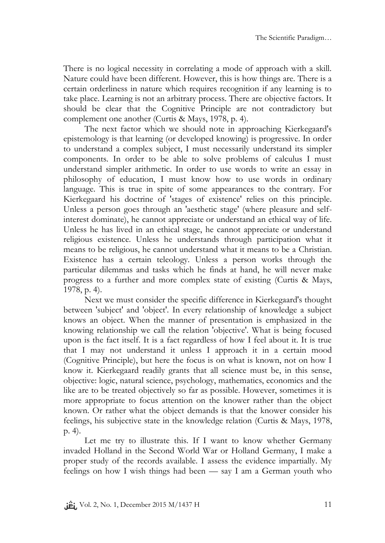There is no logical necessity in correlating a mode of approach with a skill. Nature could have been different. However, this is how things are. There is a certain orderliness in nature which requires recognition if any learning is to take place. Learning is not an arbitrary process. There are objective factors. It should be clear that the Cognitive Principle are not contradictory but complement one another (Curtis & Mays, 1978, p. 4).

The next factor which we should note in approaching Kierkegaard's epistemology is that learning (or developed knowing) is progressive. In order to understand a complex subject, I must necessarily understand its simpler components. In order to be able to solve problems of calculus I must understand simpler arithmetic. In order to use words to write an essay in philosophy of education, I must know how to use words in ordinary language. This is true in spite of some appearances to the contrary. For Kierkegaard his doctrine of 'stages of existence' relies on this principle. Unless a person goes through an 'aesthetic stage' (where pleasure and selfinterest dominate), he cannot appreciate or understand an ethical way of life. Unless he has lived in an ethical stage, he cannot appreciate or understand religious existence. Unless he understands through participation what it means to be religious, he cannot understand what it means to be a Christian. Existence has a certain teleology. Unless a person works through the particular dilemmas and tasks which he finds at hand, he will never make progress to a further and more complex state of existing (Curtis & Mays, 1978, p. 4).

Next we must consider the specific difference in Kierkegaard's thought between 'subject' and 'object'. In every relationship of knowledge a subject knows an object. When the manner of presentation is emphasized in the knowing relationship we call the relation 'objective'. What is being focused upon is the fact itself. It is a fact regardless of how I feel about it. It is true that I may not understand it unless I approach it in a certain mood (Cognitive Principle), but here the focus is on what is known, not on how I know it. Kierkegaard readily grants that all science must be, in this sense, objective: logic, natural science, psychology, mathematics, economics and the like are to be treated objectively so far as possible. However, sometimes it is more appropriate to focus attention on the knower rather than the object known. Or rather what the object demands is that the knower consider his feelings, his subjective state in the knowledge relation (Curtis & Mays, 1978, p. 4).

Let me try to illustrate this. If I want to know whether Germany invaded Holland in the Second World War or Holland Germany, I make a proper study of the records available. I assess the evidence impartially. My feelings on how I wish things had been — say I am a German youth who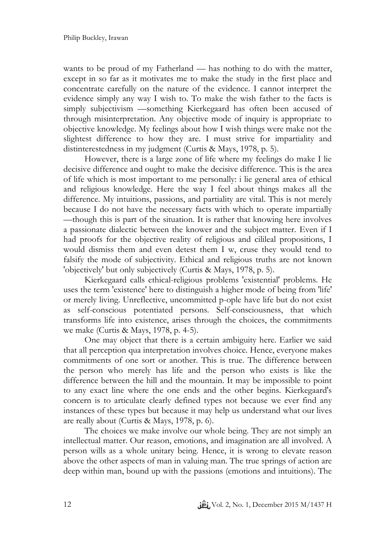wants to be proud of my Fatherland — has nothing to do with the matter, except in so far as it motivates me to make the study in the first place and concentrate carefully on the nature of the evidence. I cannot interpret the evidence simply any way I wish to. To make the wish father to the facts is simply subjectivism —something Kierkegaard has often been accused of through misinterpretation. Any objective mode of inquiry is appropriate to objective knowledge. My feelings about how I wish things were make not the slightest difference to how they are. I must strive for impartiality and distinterestedness in my judgment (Curtis & Mays, 1978, p. 5).

However, there is a large zone of life where my feelings do make I lie decisive difference and ought to make the decisive difference. This is the area of life which is most important to me personally: i lie general area of ethical and religious knowledge. Here the way I feel about things makes all the difference. My intuitions, passions, and partiality are vital. This is not merely because I do not have the necessary facts with which to operate impartially —though this is part of the situation. It is rather that knowing here involves a passionate dialectic between the knower and the subject matter. Even if I had proofs for the objective reality of religious and cilileal propositions, I would dismiss them and even detest them I w, cruse they would tend to falsify the mode of subjectivity. Ethical and religious truths are not known 'objectively' but only subjectively (Curtis & Mays, 1978, p. 5).

Kierkegaard calls ethical-religious problems 'existential' problems. He uses the term 'existence' here to distinguish a higher mode of being from 'life' or merely living. Unreflective, uncommitted p-ople have life but do not exist as self-conscious potentiated persons. Self-consciousness, that which transforms life into existence, arises through the choices, the commitments we make (Curtis & Mays, 1978, p. 4-5).

One may object that there is a certain ambiguity here. Earlier we said that all perception qua interpretation involves choice. Hence, everyone makes commitments of one sort or another. This is true. The difference between the person who merely has life and the person who exists is like the difference between the hill and the mountain. It may be impossible to point to any exact line where the one ends and the other begins. Kierkegaard's concern is to articulate clearly defined types not because we ever find any instances of these types but because it may help us understand what our lives are really about (Curtis & Mays, 1978, p. 6).

The choices we make involve our whole being. They are not simply an intellectual matter. Our reason, emotions, and imagination are all involved. A person wills as a whole unitary being. Hence, it is wrong to elevate reason above the other aspects of man in valuing man. The true springs of action are deep within man, bound up with the passions (emotions and intuitions). The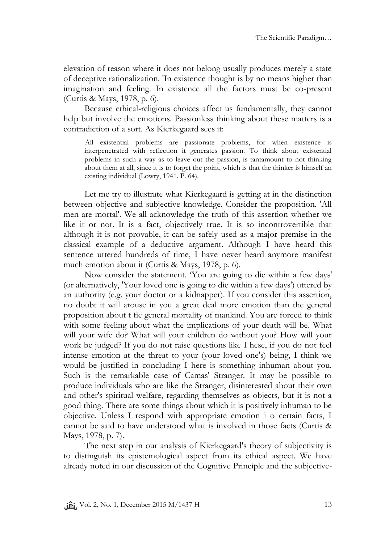elevation of reason where it does not belong usually produces merely a state of deceptive rationalization. 'In existence thought is by no means higher than imagination and feeling. In existence all the factors must be co-present (Curtis & Mays, 1978, p. 6).

Because ethical-religious choices affect us fundamentally, they cannot help but involve the emotions. Passionless thinking about these matters is a contradiction of a sort. As Kierkegaard sees it:

All existential problems are passionate problems, for when existence is interpenetrated with reflection it generates passion. To think about existential problems in such a way as to leave out the passion, is tantamount to not thinking about them at all, since it is to forget the point, which is that the thinker is himself an existing individual (Lowry, 1941. P. 64).

Let me try to illustrate what Kierkegaard is getting at in the distinction between objective and subjective knowledge. Consider the proposition, 'All men are mortal'. We all acknowledge the truth of this assertion whether we like it or not. It is a fact, objectively true. It is so incontrovertible that although it is not provable, it can be safely used as a major premise in the classical example of a deductive argument. Although I have heard this sentence uttered hundreds of time, I have never heard anymore manifest much emotion about it (Curtis & Mays, 1978, p. 6).

Now consider the statement. You are going to die within a few days' (or alternatively, 'Your loved one is going to die within a few days') uttered by an authority (e.g. your doctor or a kidnapper). If you consider this assertion, no doubt it will arouse in you a great deal more emotion than the general proposition about t fie general mortality of mankind. You are forced to think with some feeling about what the implications of your death will be. What will your wife do? What will your children do without you? How will your work be judged? If you do not raise questions like I hese, if you do not feel intense emotion at the threat to your (your loved one's) being, I think we would be justified in concluding I here is something inhuman about you. Such is the remarkable case of Camas' Stranger. It may be possible to produce individuals who are like the Stranger, disinterested about their own and other's spiritual welfare, regarding themselves as objects, but it is not a good thing. There are some things about which it is positively inhuman to be objective. Unless I respond with appropriate emotion i o certain facts, I cannot be said to have understood what is involved in those facts (Curtis & Mays, 1978, p. 7).

The next step in our analysis of Kierkegaard's theory of subjectivity is to distinguish its epistemological aspect from its ethical aspect. We have already noted in our discussion of the Cognitive Principle and the subjective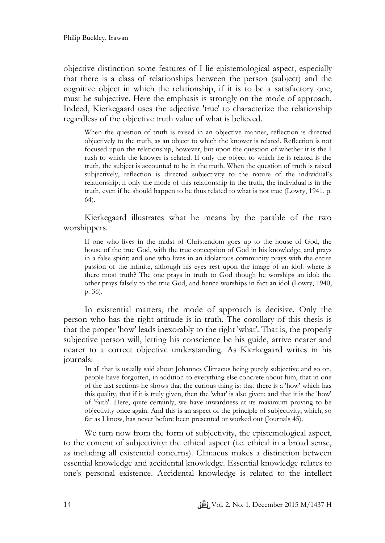objective distinction some features of I lie epistemological aspect, especially that there is a class of relationships between the person (subject) and the cognitive object in which the relationship, if it is to be a satisfactory one, must be subjective. Here the emphasis is strongly on the mode of approach. Indeed, Kierkegaard uses the adjective 'true' to characterize the relationship regardless of the objective truth value of what is believed.

When the question of truth is raised in an objective manner, reflection is directed objectively to the truth, as an object to which the knower is related. Reflection is not focused upon the relationship, however, but upon the question of whether it is the I rush to which the knower is related. If only the object to which he is related is the truth, the subject is accounted to be in the truth. When the question of truth is raised subjectively, reflection is directed subjectivity to the nature of the individual's relationship; if only the mode of this relationship in the truth, the individual is in the truth, even if he should happen to be thus related to what is not true (Lowry, 1941, p. 64).

Kierkegaard illustrates what he means by the parable of the two worshippers.

If one who lives in the midst of Christendom goes up to the house of God, the house of the true God, with the true conception of God in his knowledge, and prays in a false spirit; and one who lives in an idolatrous community prays with the entire passion of the infinite, although his eyes rest upon the image of an idol: where is there most truth? The one prays in truth to God though he worships an idol; the other prays falsely to the true God, and hence worships in fact an idol (Lowry, 1940, p. 36).

In existential matters, the mode of approach is decisive. Only the person who has the right attitude is in truth. The corollary of this thesis is that the proper 'how' leads inexorably to the right 'what'. That is, the properly subjective person will, letting his conscience be his guide, arrive nearer and nearer to a correct objective understanding. As Kierkegaard writes in his journals:

In all that is usually said about Johannes Climacus being purely subjective and so on, people have forgotten, in addition to everything else concrete about him, that in one of the last sections he shows that the curious thing is: that there is a 'how' which has this quality, that if it is truly given, then the 'what' is also given; and that it is the 'how' of 'faith'. Here, quite certainly, we have inwardness at its maximum proving to be objectivity once again. And this is an aspect of the principle of subjectivity, which, so far as I know, has never before been presented or worked out (Journals 45).

We turn now from the form of subjectivity, the epistemological aspect, to the content of subjectivity: the ethical aspect (i.e. ethical in a broad sense, as including all existential concerns). Climacus makes a distinction between essential knowledge and accidental knowledge. Essential knowledge relates to one's personal existence. Accidental knowledge is related to the intellect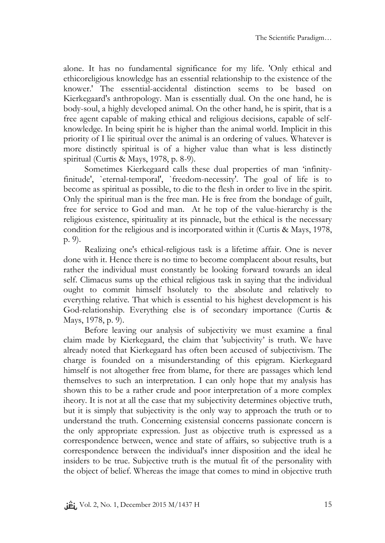alone. It has no fundamental significance for my life. 'Only ethical and ethicoreligious knowledge has an essential relationship to the existence of the knower.' The essential-accidental distinction seems to be based on Kierkegaard's anthropology. Man is essentially dual. On the one hand, he is body-soul, a highly developed animal. On the other hand, he is spirit, that is a free agent capable of making ethical and religious decisions, capable of selfknowledge. In being spirit he is higher than the animal world. Implicit in this priority of I lie spiritual over the animal is an ordering of values. Whatever is more distinctly spiritual is of a higher value than what is less distinctly spiritual (Curtis & Mays, 1978, p. 8-9).

Sometimes Kierkegaard calls these dual properties of man 'infinityfinitude', `eternal-temporal', `freedom-necessity'. The goal of life is to become as spiritual as possible, to die to the flesh in order to live in the spirit. Only the spiritual man is the free man. He is free from the bondage of guilt, free for service to God and man. At he top of the value-hierarchy is the religious existence, spirituality at its pinnacle, but the ethical is the necessary condition for the religious and is incorporated within it (Curtis & Mays, 1978, p. 9).

Realizing one's ethical-religious task is a lifetime affair. One is never done with it. Hence there is no time to become complacent about results, but rather the individual must constantly be looking forward towards an ideal self. Climacus sums up the ethical religious task in saying that the individual ought to commit himself hsolutely to the absolute and relatively to everything relative. That which is essential to his highest development is his God-relationship. Everything else is of secondary importance (Curtis & Mays, 1978, p. 9).

Before leaving our analysis of subjectivity we must examine a final claim made by Kierkegaard, the claim that 'subjectivity' is truth. We have already noted that Kierkegaard has often been accused of subjectivism. The charge is founded on a misunderstanding of this epigram. Kierkegaard himself is not altogether free from blame, for there are passages which lend themselves to such an interpretation. I can only hope that my analysis has shown this to be a rather crude and poor interpretation of a more complex iheory. It is not at all the case that my subjectivity determines objective truth, but it is simply that subjectivity is the only way to approach the truth or to understand the truth. Concerning existensial concerns passionate concern is the only appropriate expression. Just as objective truth is expressed as a correspondence between, wence and state of affairs, so subjective truth is a correspondence between the individual's inner disposition and the ideal he insiders to be true. Subjective truth is the mutual fit of the personality with the object of belief. Whereas the image that comes to mind in objective truth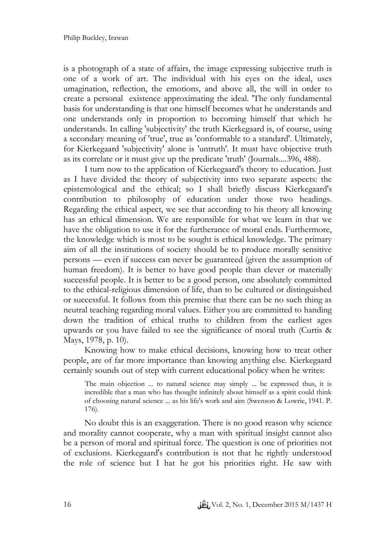is a photograph of a state of affairs, the image expressing subjective truth is one of a work of art. The individual with his eyes on the ideal, uses umagination, reflection, the emotions, and above all, the will in order to create a personal existence approximating the ideal. 'The only fundamental basis for understanding is that one himself becomes what he understands and one understands only in proportion to becoming himself that which he understands. In calling 'subjectivity' the truth Kierkegaard is, of course, using a secondary meaning of 'true', true as 'conformable to a standard'. Ultimately, for Kierkegaard 'subjectivity' alone is 'untruth'. It must have objective truth as its correlate or it must give up the predicate 'truth' (Journals....396, 488).

I turn now to the application of Kierkegaard's theory to education. Just as I have divided the theory of subjectivity into two separate aspects: the epistemological and the ethical; so I shall briefly discuss Kierkegaard's contribution to philosophy of education under those two headings. Regarding the ethical aspect, we see that according to his theory all knowing has an ethical dimension. We are responsible for what we learn in that we have the obligation to use it for the furtherance of moral ends. Furthermore, the knowledge which is most to be sought is ethical knowledge. The primary aim of all the institutions of society should be to produce morally sensitive persons — even if success can never be guaranteed (given the assumption of human freedom). It is better to have good people than clever or materially successful people. It is better to be a good person, one absolutely committed to the ethical-religious dimension of life, than to be cultured or distinguished or successful. It follows from this premise that there can be no such thing as neutral teaching regarding moral values. Either you are committed to handing down the tradition of ethical truths to children from the earliest ages upwards or you have failed to see the significance of moral truth (Curtis & Mays, 1978, p. 10).

Knowing how to make ethical decisions, knowing how to treat other people, are of far more importance than knowing anything else. Kierkegaard certainly sounds out of step with current educational policy when he writes:

The main objection ... to natural science may simply ... be expressed thus, it is incredible that a man who has thought infinitely about himself as a spirit could think of choosing natural science ... as his life's work and aim (Swenson & Lowrie, 1941. P. 176).

No doubt this is an exaggeration. There is no good reason why science and morality cannot cooperate, why a man with spiritual insight cannot also be a person of moral and spiritual force. The question is one of priorities not of exclusions. Kierkegaard's contribution is not that he rightly understood the role of science but I hat he got his priorities right. He saw with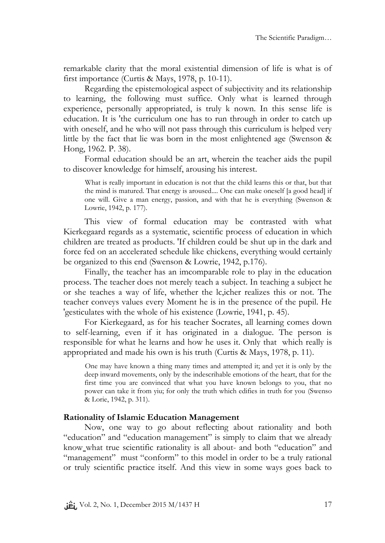remarkable clarity that the moral existential dimension of life is what is of first importance (Curtis & Mays, 1978, p. 10-11).

Regarding the epistemological aspect of subjectivity and its relationship to learning, the following must suffice. Only what is learned through experience, personally appropriated, is truly k nown. In this sense life is education. It is 'the curriculum one has to run through in order to catch up with oneself, and he who will not pass through this curriculum is helped very little by the fact that lie was born in the most enlightened age (Swenson & Hong, 1962. P. 38).

Formal education should be an art, wherein the teacher aids the pupil to discover knowledge for himself, arousing his interest.

What is really important in education is not that the child learns this or that, but that the mind is matured. That energy is aroused.... One can make oneself [a good head] if one will. Give a man energy, passion, and with that he is everything (Swenson & Lowrie, 1942, p. 177).

This view of formal education may be contrasted with what Kierkegaard regards as a systematic, scientific process of education in which children are treated as products. 'If children could be shut up in the dark and force fed on an accelerated schedule like chickens, everything would certainly be organized to this end (Swenson & Lowrie, 1942, p.176).

Finally, the teacher has an imcomparable role to play in the education process. The teacher does not merely teach a subject. In teaching a subject he or she teaches a way of life, whether the lc,icher realizes this or not. The teacher conveys values every Moment he is in the presence of the pupil. He 'gesticulates with the whole of his existence (Lowrie, 1941, p. 45).

For Kierkegaard, as for his teacher Socrates, all learning comes down to self-learning, even if it has originated in a dialogue. The person is responsible for what he learns and how he uses it. Only that which really is appropriated and made his own is his truth (Curtis & Mays, 1978, p. 11).

One may have known a thing many times and attempted it; and yet it is only by the deep inward movements, only by the indescrihable emotions of the heart, that for the first time you are convinced that what you have known belongs to you, that no power can take it from yiu; for only the truth which edifies in truth for you (Swenso & Lorie, 1942, p. 311).

# **Rationality of Islamic Education Management**

Now, one way to go about reflecting about rationality and both "education" and "education management" is simply to claim that we already know what true scientific rationality is all about- and both "education" and "management" must "conform" to this model in order to be a truly rational or truly scientific practice itself. And this view in some ways goes back to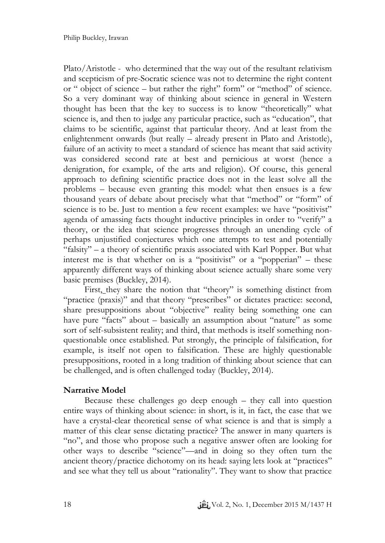Plato/Aristotle - who determined that the way out of the resultant relativism and scepticism of pre-Socratic science was not to determine the right content or " object of science – but rather the right" form" or "method" of science. So a very dominant way of thinking about science in general in Western thought has been that the key to success is to know "theoretically" what science is, and then to judge any particular practice, such as "education", that claims to be scientific, against that particular theory. And at least from the enlightenment onwards (but really – already present in Plato and Aristotle), failure of an activity to meet a standard of science has meant that said activity was considered second rate at best and pernicious at worst (hence a denigration, for example, of the arts and religion). Of course, this general approach to defining scientific practice does not in the least solve all the problems – because even granting this model: what then ensues is a few thousand years of debate about precisely what that "method" or "form" of science is to be. Just to mention a few recent examples: we have "positivist" agenda of amassing facts thought inductive principles in order to "verify" a theory, or the idea that science progresses through an unending cycle of perhaps unjustified conjectures which one attempts to test and potentially "falsity" – a theory of scientific praxis associated with Karl Popper. But what interest me is that whether on is a "positivist" or a "popperian" – these apparently different ways of thinking about science actually share some very basic premises (Buckley, 2014).

First, they share the notion that "theory" is something distinct from "practice (praxis)" and that theory "prescribes" or dictates practice: second, share presuppositions about "objective" reality being something one can have pure "facts" about – basically an assumption about "nature" as some sort of self-subsistent reality; and third, that methods is itself something nonquestionable once established. Put strongly, the principle of falsification, for example, is itself not open to falsification. These are highly questionable presuppositions, rooted in a long tradition of thinking about science that can be challenged, and is often challenged today (Buckley, 2014).

#### **Narrative Model**

Because these challenges go deep enough – they call into question entire ways of thinking about science: in short, is it, in fact, the case that we have a crystal-clear theoretical sense of what science is and that is simply a matter of this clear sense dictating practice? The answer in many quarters is "no", and those who propose such a negative answer often are looking for other ways to describe "science"—and in doing so they often turn the ancient theory/practice dichotomy on its head: saying lets look at "practices" and see what they tell us about "rationality". They want to show that practice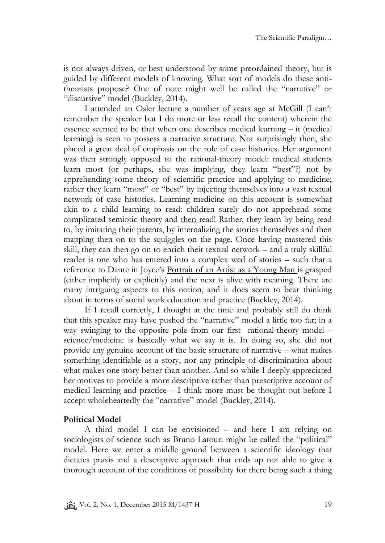is not always driven, or best understood by some preordained theory, but is guided by different models of knowing. What sort of models do these antitheorists propose? One of note might well be called the "narrative" or "discursive" model (Buckley, 2014).

I attended an Osler lecture a number of years age at McGill (I can't remember the speaker but I do more or less recall the content) wherein the essence seemed to be that when one describes medical learning – it (medical learning) is seen to possess a narrative structure. Not surprisingly then, she placed a great deal of emphasis on the role of case histories. Her argument was then strongly opposed to the rational-theory model: medical students learn most (or perhaps, she was implying, they learn "best"?) not by apprehending some theory of scientific practice and applying to medicine; rather they learn "most" or "best" by injecting themselves into a vast textual network of case histories. Learning medicine on this account is somewhat akin to a child learning to read: children surely do not apprehend some complicated semiotic theory and then read! Rather, they learn by being read to, by imitating their parents, by internalizing the stories themselves and then mapping then on to the squiggles on the page. Once having mastered this skill, they can then go on to enrich their textual network – and a truly skillful reader is one who has entered into a complex wed of stories – such that a reference to Dante in Joyce's Portrait of an Artist as a Young Man is grasped (either implicitly or explicitly) and the next is alive with meaning. There are many intriguing aspects to this notion, and it does seem to bear thinking about in terms of social work education and practice (Buckley, 2014).

If I recall correctly, I thought at the time and probably still do think that this speaker may have pushed the "narrative" model a little too far; in a way swinging to the opposite pole from our first rational-theory model – science/medicine is basically what we say it is. In doing so, she did not provide any genuine account of the basic structure of narrative – what makes something identifiable as a story, nor any principle of discrimination about what makes one story better than another. And so while I deeply appreciated her motives to provide a more descriptive rather than prescriptive account of medical learning and practice  $-1$  think more must be thought out before I accept wholeheartedly the "narrative" model (Buckley, 2014).

# **Political Model**

A third model I can be envisioned – and here I am relying on sociologists of science such as Bruno Latour: might be called the "political" model. Here we enter a middle ground between a scientific ideology that dictates praxis and a descriptive approach that ends up not able to give a thorough account of the conditions of possibility for there being such a thing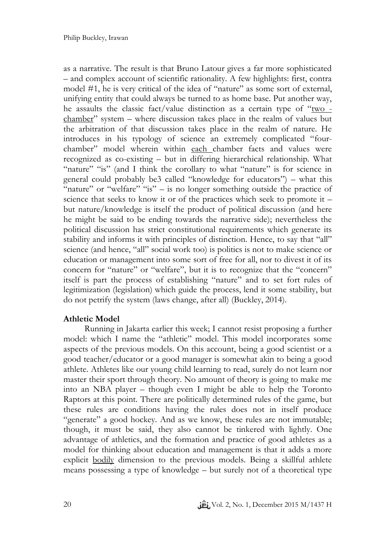as a narrative. The result is that Bruno Latour gives a far more sophisticated – and complex account of scientific rationality. A few highlights: first, contra model #1, he is very critical of the idea of "nature" as some sort of external, unifying entity that could always be turned to as home base. Put another way, he assaults the classic fact/value distinction as a certain type of " $two$ chamber" system – where discussion takes place in the realm of values but the arbitration of that discussion takes place in the realm of nature. He introduces in his typology of science an extremely complicated "fourchamber" model wherein within each chamber facts and values were recognized as co-existing – but in differing hierarchical relationship. What "nature" "is" (and I think the corollary to what "nature" is for science in general could probably be3 called "knowledge for educators") – what this "nature" or "welfare" "is" – is no longer something outside the practice of science that seeks to know it or of the practices which seek to promote it – but nature/knowledge is itself the product of political discussion (and here he might be said to be ending towards the narrative side); nevertheless the political discussion has strict constitutional requirements which generate its stability and informs it with principles of distinction. Hence, to say that "all" science (and hence, "all" social work too) is politics is not to make science or education or management into some sort of free for all, nor to divest it of its concern for "nature" or "welfare", but it is to recognize that the "concern" itself is part the process of establishing "nature" and to set fort rules of legitimization (legislation) which guide the process, lend it some stability, but do not petrify the system (laws change, after all) (Buckley, 2014).

#### **Athletic Model**

Running in Jakarta earlier this week; I cannot resist proposing a further model: which I name the "athletic" model. This model incorporates some aspects of the previous models. On this account, being a good scientist or a good teacher/educator or a good manager is somewhat akin to being a good athlete. Athletes like our young child learning to read, surely do not learn nor master their sport through theory. No amount of theory is going to make me into an NBA player – though even I might be able to help the Toronto Raptors at this point. There are politically determined rules of the game, but these rules are conditions having the rules does not in itself produce "generate" a good hockey. And as we know, these rules are not immutable; though, it must be said, they also cannot be tinkered with lightly. One advantage of athletics, and the formation and practice of good athletes as a model for thinking about education and management is that it adds a more explicit bodily dimension to the previous models. Being a skillful athlete means possessing a type of knowledge – but surely not of a theoretical type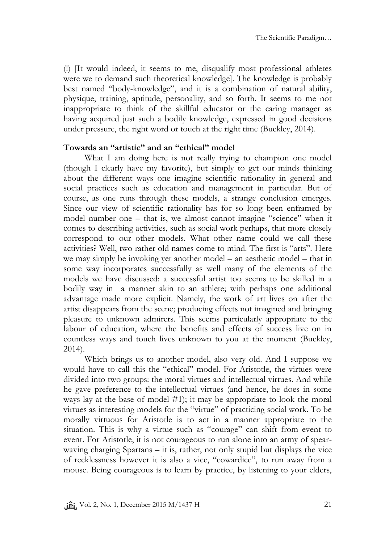(!) [It would indeed, it seems to me, disqualify most professional athletes were we to demand such theoretical knowledge]. The knowledge is probably best named "body-knowledge", and it is a combination of natural ability, physique, training, aptitude, personality, and so forth. It seems to me not inappropriate to think of the skillful educator or the caring manager as having acquired just such a bodily knowledge, expressed in good decisions under pressure, the right word or touch at the right time (Buckley, 2014).

### **Towards an "artistic" and an "ethical" model**

What I am doing here is not really trying to champion one model (though I clearly have my favorite), but simply to get our minds thinking about the different ways one imagine scientific rationality in general and social practices such as education and management in particular. But of course, as one runs through these models, a strange conclusion emerges. Since our view of scientific rationality has for so long been enframed by model number one – that is, we almost cannot imagine "science" when it comes to describing activities, such as social work perhaps, that more closely correspond to our other models. What other name could we call these activities? Well, two rather old names come to mind. The first is "arts". Here we may simply be invoking yet another model – an aesthetic model – that in some way incorporates successfully as well many of the elements of the models we have discussed: a successful artist too seems to be skilled in a bodily way in a manner akin to an athlete; with perhaps one additional advantage made more explicit. Namely, the work of art lives on after the artist disappears from the scene; producing effects not imagined and bringing pleasure to unknown admirers. This seems particularly appropriate to the labour of education, where the benefits and effects of success live on in countless ways and touch lives unknown to you at the moment (Buckley, 2014).

Which brings us to another model, also very old. And I suppose we would have to call this the "ethical" model. For Aristotle, the virtues were divided into two groups: the moral virtues and intellectual virtues. And while he gave preference to the intellectual virtues (and hence, he does in some ways lay at the base of model #1); it may be appropriate to look the moral virtues as interesting models for the "virtue" of practicing social work. To be morally virtuous for Aristotle is to act in a manner appropriate to the situation. This is why a virtue such as "courage" can shift from event to event. For Aristotle, it is not courageous to run alone into an army of spearwaving charging Spartans – it is, rather, not only stupid but displays the vice of recklessness however it is also a vice, "cowardice", to run away from a mouse. Being courageous is to learn by practice, by listening to your elders,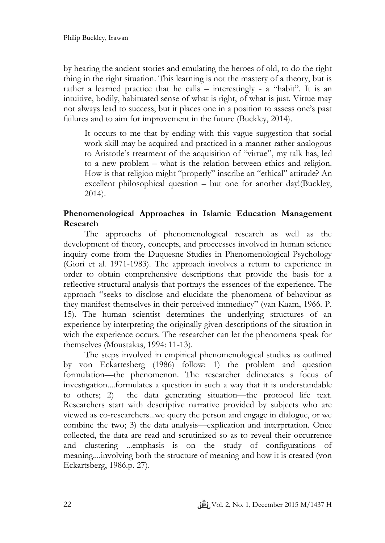by hearing the ancient stories and emulating the heroes of old, to do the right thing in the right situation. This learning is not the mastery of a theory, but is rather a learned practice that he calls – interestingly - a "habit". It is an intuitive, bodily, habituated sense of what is right, of what is just. Virtue may not always lead to success, but it places one in a position to assess one's past failures and to aim for improvement in the future (Buckley, 2014).

It occurs to me that by ending with this vague suggestion that social work skill may be acquired and practiced in a manner rather analogous to Aristotle's treatment of the acquisition of "virtue", my talk has, led to a new problem – what is the relation between ethics and religion. How is that religion might "properly" inscribe an "ethical" attitude? An excellent philosophical question – but one for another day!(Buckley, 2014).

# **Phenomenological Approaches in Islamic Education Management Research**

The approachs of phenomenological research as well as the development of theory, concepts, and proccesses involved in human science inquiry come from the Duquesne Studies in Phenomenological Psychology (Giori et al. 1971-1983). The approach involves a return to experience in order to obtain comprehensive descriptions that provide the basis for a reflective structural analysis that portrays the essences of the experience. The approach "seeks to disclose and elucidate the phenomena of behaviour as they manifest themselves in their perceived immediacy" (van Kaam, 1966. P. 15). The human scientist determines the underlying structures of an experience by interpreting the originally given descriptions of the situation in wich the experience occurs. The researcher can let the phenomena speak for themselves (Moustakas, 1994: 11-13).

The steps involved in empirical phenomenological studies as outlined by von Eckartesberg (1986) follow: 1) the problem and question formulation—the phenomenon. The researcher delinecates s focus of investigation....formulates a question in such a way that it is understandable to others; 2) the data generating situation—the protocol life text. Researchers start with descriptive narrative provided by subjects who are viewed as co-researchers...we query the person and engage in dialogue, or we combine the two; 3) the data analysis—explication and interprtation. Once collected, the data are read and scrutinized so as to reveal their occurrence and clustering ...emphasis is on the study of configurations of meaning....involving both the structure of meaning and how it is created (von Eckartsberg, 1986.p. 27).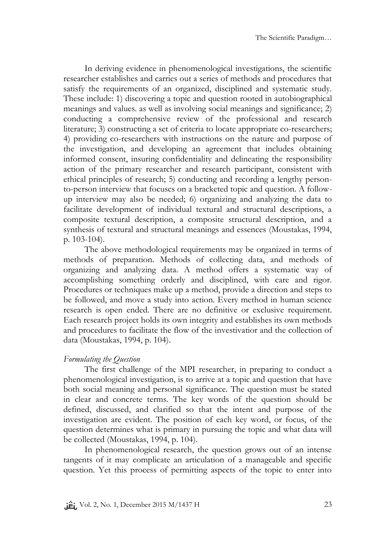In deriving evidence in phenomenological investigations, the scientific researcher establishes and carries out a series of methods and procedures that satisfy the requirements of an organized, disciplined and systematic study. These include: 1) discovering a topic and question rooted in autobiographical meanings and values. as well as involving social meanings and significance; 2) conducting a comprehensive review of the professional and research literature; 3) constructing a set of criteria to locate appropriate co-researchers; 4) providing co-researchers with instructions on the nature and purpose of the investigation, and developing an agreement that includes obtaining informed consent, insuring confidentiality and delineating the responsibility action of the primary researcher and research participant, consistent with ethical principles of research; 5) conducting and recording a lengthy personto-person interview that focuscs on a bracketed topic and question. A followup interview may also be needed; 6) organizing and analyzing the data to facilitate development of individual textural and structural descriptions, a composite textural description, a composite structural description, and a synthesis of textural and structural meanings and essences (Moustakas, 1994, p. 103-104).

The above methodological requirements may be organized in terms of methods of preparation. Methods of collecting data, and methods of organizing and analyzing data. A method offers a systematic way of accomplishing something orderly and disciplined, with care and rigor. Procedures or techniques make up a method, provide a direction and steps to be followed, and move a study into action. Every method in human science research is open ended. There are no definitive or exclusive requirement. Each research project holds its own integrity and establishes its own methods and procedures to facilitate the flow of the investivatior and the collection of data (Moustakas, 1994, p. 104).

# *Formulating the Question*

The first challenge of the MPI researcher, in preparing to conduct a phenomenological investigation, is to arrive at a topic and question that have both social meaning and personal significance. The question must be stated in clear and concrete terms. The key words of the question should be defined, discussed, and clarified so that the intent and purpose of the investigation are evident. The position of each key word, or focus, of the question determines what is primary in pursuing the topic and what data will be collected (Moustakas, 1994, p. 104).

In phenomenological research, the question grows out of an intense tangents of it may complicate an articulation of a manageable and specific question. Yet this process of permitting aspects of the topic to enter into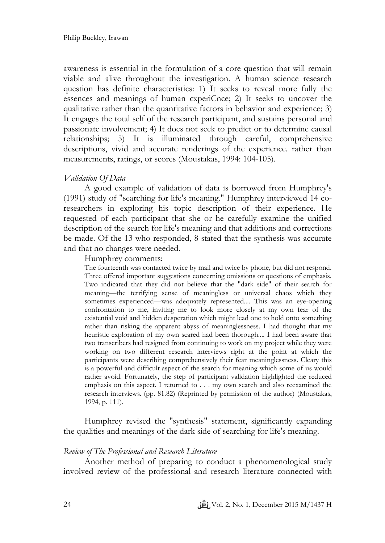awareness is essential in the formulation of a core question that will remain viable and alive throughout the investigation. A human science research question has definite characteristics: 1) It seeks to reveal more fully the essences and meanings of human cxperiCnce; 2) It seeks to uncover the qualitative rather than the quantitative factors in behavior and experience; 3) It engages the total self of the research participant, and sustains personal and passionate involvement; 4) It does not seek to predict or to determine causal relationships; 5) It is illuminated through careful, comprehensive descriptions, vivid and accurate renderings of the experience. rather than measurements, ratings, or scores (Moustakas, 1994: 104-105).

#### *Validation Of Data*

A good example of validation of data is borrowed from Humphrey's (1991) study of "searching for life's meaning." Humphrey interviewed 14 coresearchers in exploring his topic description of their experience. He requested of each participant that she or he carefully examine the unified description of the search for life's meaning and that additions and corrections be made. Of the 13 who responded, 8 stated that the synthesis was accurate and that no changes were needed.

#### Humphrey comments:

The fourteenth was contacted twice by mail and twice by phone, but did not respond. Three offered important suggestions concerning omissions or questions of emphasis. Two indicated that they did not believe that the "dark side" of their search for meaning—the terrifying sense of meaningless or universal chaos which they sometimes experienced—was adequately represented.... This was an eye-opening confrontation to me, inviting me to look more closely at my own fear of the existential void and hidden desperation which might lead one to hold onto something rather than risking the apparent abyss of meaninglessness. I had thought that my heuristic exploration of my own scared had been thorough.... I had been aware that two transcribers had resigned from continuing to work on my project while they were working on two different research interviews right at the point at which the participants were describing comprehensively their fear meaninglessness. Cleary this is a powerful and difficult aspect of the search for meaning which some of us would rather avoid. Fortunately, the step of participant validation highlighted the reduced emphasis on this aspect. I returned to . . . my own search and also reexamined the research interviews. (pp. 81.82) (Reprinted by permission of the author) (Moustakas, 1994, p. 111).

Humphrey revised the "synthesis" statement, significantly expanding the qualities and meanings of the dark side of searching for life's meaning.

#### *Review of The Professional and Research Literature*

Another method of preparing to conduct a phenomenological study involved review of the professional and research literature connected with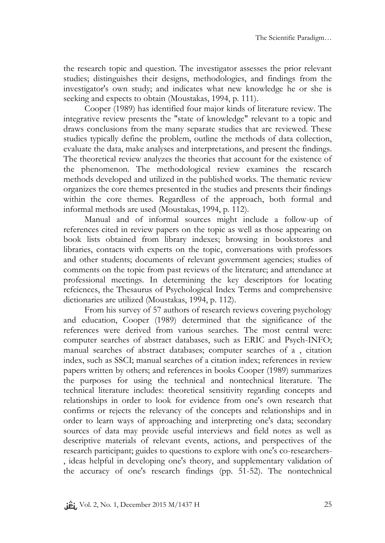the research topic and question. The investigator assesses the prior relevant studies; distinguishes their designs, methodologies, and findings from the investigator's own study; and indicates what new knowledge he or she is seeking and expects to obtain (Moustakas, 1994, p. 111).

Cooper (1989) has identified four major kinds of literature review. The integrative review presents the "state of knowledge" relevant to a topic and draws conclusions from the many separate studies that arc reviewed. These studies typically define the problem, outline the methods of data collection, evaluate the data, make analyses and interpretations, and present the findings. The theoretical review analyzes the theories that account for the existence of the phenomenon. The methodological review examines the rcscarch methods developed and utilized in the published works. The thematic review organizes the core themes presented in the studies and presents their findings within the core themes. Regardless of the approach, both formal and informal methods are used (Moustakas, 1994, p. 112).

Manual and of informal sources might include a follow-up of references cited in review papers on the topic as well as those appearing on book lists obtained from library indexes; browsing in bookstores and libraries, contacts with experts on the topic, conversations with professors and other students; documents of relevant government agencies; studies of comments on the topic from past reviews of the litcraturc; and attendance at professional meetings. In determining the key descriptors for locating rcfcicnccs, the Thesaurus of Psychological Index Terms and comprehensive dictionaries are utilized (Moustakas, 1994, p. 112).

From his survey of 57 authors of research reviews covering psychology and education, Cooper (1989) determined that the significance of the references were derived from various searches. The most central were: computer searches of abstract databases, such as ERIC and Psych-INFO; manual searches of abstract databases; computer searches of a , citation index, such as SSCI; manual searches of a citation index; references in review papers written by others; and references in books Cooper (1989) summarizes the purposes for using the technical and nontechnical literature. The technical literature includes: theoretical sensitivity regarding concepts and relationships in order to look for evidence from one's own research that confirms or rejects the relevancy of the concepts and relationships and in order to learn ways of approaching and interpreting one's data; secondary sources of data may provide useful interviews and field notes as well as descriptive materials of relevant events, actions, and perspectives of the research participant; guides to questions to explore with one's co-researchers- , ideas helpful in developing one's theory, and supplementary validation of the accuracy of one's research findings (pp. 51-52). The nontechnical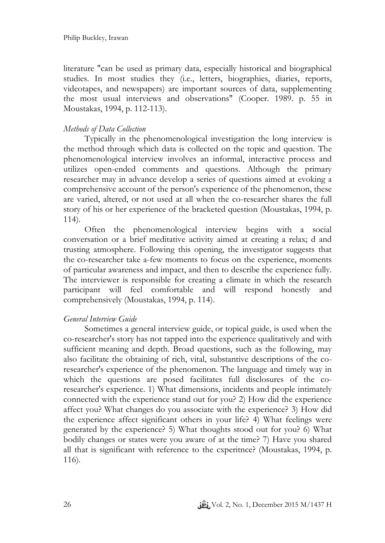literature "can be used as primary data, especially historical and biographical studies. In most studies they (i.e., letters, biographies, diaries, reports, videotapes, and newspapers) are important sources of data, supplementing the most usual interviews and observations" (Cooper. 1989. p. 55 in Moustakas, 1994, p. 112-113).

### *Methods of Data Collection*

Typically in the phenomenological investigation the long interview is the method through which data is collected on the topic and question. The phenomenological interview involves an informal, interactive process and utilizes open-ended comments and questions. Although the primary researcher may in advance develop a series of questions aimed at evoking a comprehensive account of the person's experience of the phenomenon, these are varied, altered, or not used at all when the co-researcher shares the full story of his or her experience of the bracketed question (Moustakas, 1994, p. 114).

Often the phenomenological interview begins with a social conversation or a brief meditative activity aimed at creating a relax; d and trusting atmosphere. Following this opening, the investigator suggests that the co-researcher take a-few moments to focus on the experience, moments of particular awareness and impact, and then to describe the experience fully. The interviewer is responsible for creating a climate in which the research participant will feel comfortable and will respond honestly and comprehensively (Moustakas, 1994, p. 114).

# *General Interview Guide*

Sometimes a general interview guide, or topical guide, is used when the co-researcher's story has not tapped into the experience qualitatively and with sufficient meaning and depth. Broad questions, such as the following, may also facilitate the obtaining of rich, vital, substantive descriptions of the coresearcher's experience of the phenomenon. The language and timely way in which the questions are posed facilitates full disclosures of the coresearcher's experience. 1) What dimensions, incidents and people intimately connected with the experience stand out for you? 2) How did the experience affect you? What changes do you associate with the experience? 3) How did the experience affect significant others in your life? 4) What feelings were generated by the experience? 5) What thoughts stood out for you? 6) What bodily changes or states were you aware of at the time? 7) Have you shared all that is significant with reference to the cxperitnce? (Moustakas, 1994, p. 116).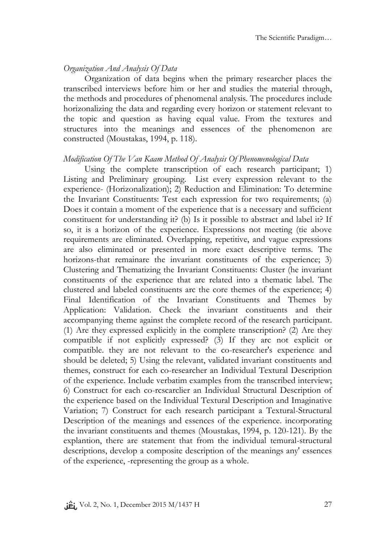### *Organization And Analysis Of Data*

Organization of data begins when the primary researcher places the transcribed interviews before him or her and studies the material through, the methods and procedures of phenomenal analysis. The procedures include horizonalizing the data and regarding every horizon or statement relevant to the topic and question as having equal value. From the textures and structures into the meanings and essences of the phenomenon are constructed (Moustakas, 1994, p. 118).

#### *Modification Of The Van Kaam Method Of Analysis Of Phenomenological Data*

Using the complete transcription of each research participant; 1) Listing and Preliminary grouping. List every expression relevant to the experience- (Horizonalization); 2) Reduction and Elimination: To determine the Invariant Constituents: Test each expression for two requirements; (a) Does it contain a moment of the experience that is a necessary and sufficient constituent for understanding it? (b) Is it possible to abstract and label it? If so, it is a horizon of the experience. Expressions not meeting (tie above requirements are eliminated. Overlapping, repetitive, and vague expressions are also eliminated or presented in more exact descriptive terms. The horizons-that remainare the invariant constituents of the experience; 3) Clustering and Thematizing the Invariant Constituents: Cluster (he invariant constituents of the experience that are related into a thematic label. The clustered and labeled constituents arc the core themes of the experience; 4) Final Identification of the Invariant Constituents and Themes by Application: Validation. Check the invariant constituents and their accompanying theme against the complete record of the research participant. (1) Are they expressed explicitly in the complete transcription? (2) Are they compatible if not explicitly expressed? (3) If they arc not explicit or compatible. they are not relevant to the co-researcher's experience and should be deleted; 5) Using the relevant, validated invariant constituents and themes, construct for each co-researcher an Individual Textural Description of the experience. Include verbatim examples from the transcribed interview; 6) Construct for each co-rcscarclier an Individual Structural Description of the experience based on the Individual Textural Description and Imaginative Variation; 7) Construct for each research participant a Textural-Structural Description of the meanings and essences of the experience. incorporating the invariant constituents and themes (Moustakas, 1994, p. 120-121). By the explantion, there are statement that from the individual temural-structural descriptions, develop a composite description of the meanings any' essences of the experience, -representing the group as a whole.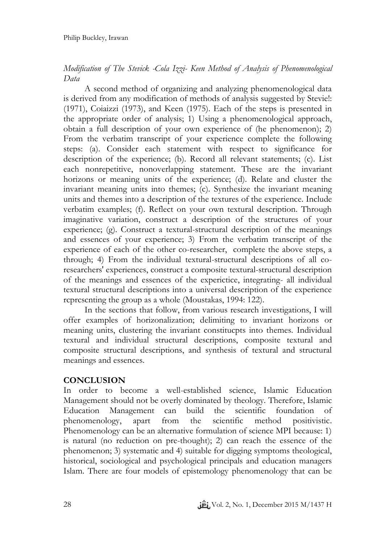# *Modification of The Stevick -Cola Izzi- Keen Method of Analysis of Phenomenological Data*

A second method of organizing and analyzing phenomenological data is derived from any modification of methods of analysis suggested by Stevie!: (1971), Coiaizzi (1973), and Keen (1975). Each of the steps is presented in the appropriate order of analysis; 1) Using a phenomenological approach, obtain a full description of your own experience of (he phenomenon); 2) From the verbatim transcript of your experience complete the following steps: (a). Consider each statement with respect to significance for description of the experience; (b). Record all relevant statements; (c). List each nonrepetitive, nonoverlapping statement. These are the invariant horizons or meaning units of the experience; (d). Relate and cluster the invariant meaning units into themes; (c). Synthesize the invariant meaning units and themes into a description of the textures of the experience. Include verbatim examples; (f). Reflect on your own textural description. Through imaginative variation, construct a description of the structures of your experience; (g). Construct a textural-structural description of the meanings and essences of your experience; 3) From the verbatim transcript of the experience of each of the other co-researcher, complete the above steps, a through; 4) From the individual textural-structural descriptions of all coresearchers' experiences, construct a composite textural-structural description of the meanings and essences of the experictice, integrating- all individual textural structural descriptions into a universal description of the experience rcprcscnting the group as a whole (Moustakas, 1994: 122).

In the sections that follow, from various research investigations, I will offer examples of horizonalization; delimiting to invariant horizons or meaning units, clustering the invariant constitucpts into themes. Individual textural and individual structural descriptions, composite textural and composite structural descriptions, and synthesis of textural and structural meanings and essences.

# **CONCLUSION**

In order to become a well-established science, Islamic Education Management should not be overly dominated by theology. Therefore, Islamic Education Management can build the scientific foundation of phenomenology, apart from the scientific method positivistic. Phenomenology can be an alternative formulation of science MPI because: 1) is natural (no reduction on pre-thought); 2) can reach the essence of the phenomenon; 3) systematic and 4) suitable for digging symptoms theological, historical, sociological and psychological principals and education managers Islam. There are four models of epistemology phenomenology that can be